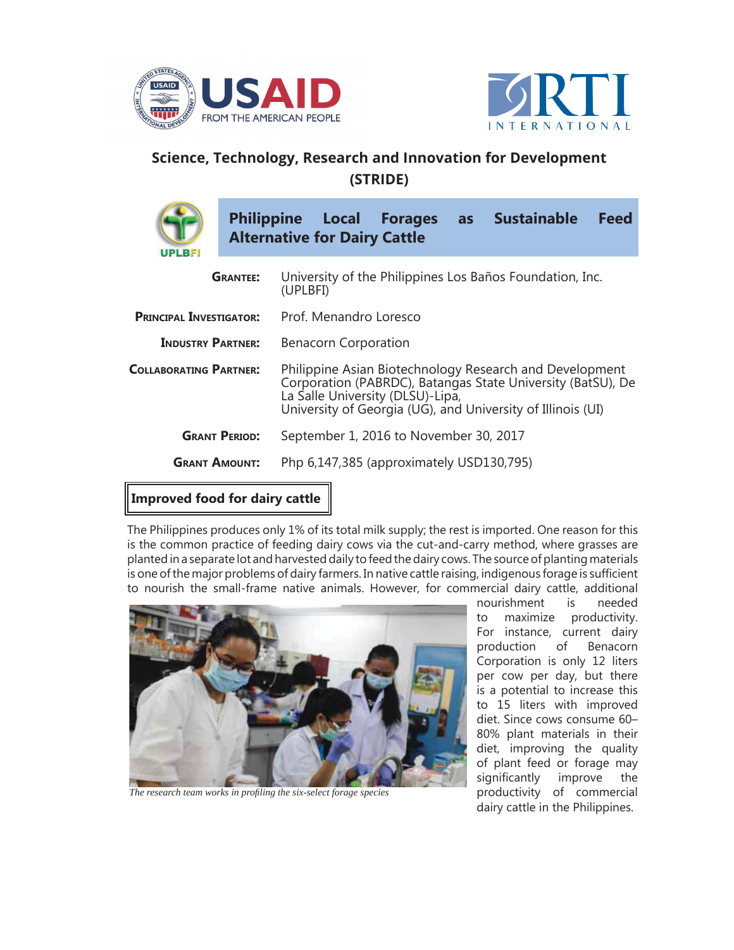



## **Science, Technology, Research and Innovation for Development (STRIDE)**



| <b>UPLBF</b>                   | <b>Philippine Local Forages</b><br>as Sustainable<br>Feed<br><b>Alternative for Dairy Cattle</b>                                                                                                                          |
|--------------------------------|---------------------------------------------------------------------------------------------------------------------------------------------------------------------------------------------------------------------------|
| <b>GRANTEE:</b>                | University of the Philippines Los Baños Foundation, Inc.<br>(UPLBFI)                                                                                                                                                      |
| <b>PRINCIPAL INVESTIGATOR:</b> | Prof. Menandro Loresco                                                                                                                                                                                                    |
| <b>INDUSTRY PARTNER:</b>       | <b>Benacorn Corporation</b>                                                                                                                                                                                               |
| <b>COLLABORATING PARTNER:</b>  | Philippine Asian Biotechnology Research and Development<br>Corporation (PABRDC), Batangas State University (BatSU), De<br>La Salle University (DLSU)-Lipa,<br>University of Georgia (UG), and University of Illinois (UI) |
| <b>GRANT PERIOD:</b>           | September 1, 2016 to November 30, 2017                                                                                                                                                                                    |
| <b>GRANT AMOUNT:</b>           | Php 6,147,385 (approximately USD130,795)                                                                                                                                                                                  |
|                                |                                                                                                                                                                                                                           |

## **Improved food for dairy cattle**

The Philippines produces only 1% of its total milk supply; the rest is imported. One reason for this is the common practice of feeding dairy cows via the cut-and-carry method, where grasses are planted in a separate lot and harvested daily to feed the dairy cows. The source of planting materials is one of the major problems of dairy farmers. In native cattle raising, indigenous forage is sufficient to nourish the small-frame native animals. However, for commercial dairy cattle, additional



The research team works in profiling the six-select forage species

nourishment is needed to maximize productivity. For instance, current dairy production of Benacorn Corporation is only 12 liters per cow per day, but there is a potential to increase this to 15 liters with improved diet. Since cows consume 60– 80% plant materials in their diet, improving the quality of plant feed or forage may significantly improve the productivity of commercial dairy cattle in the Philippines.